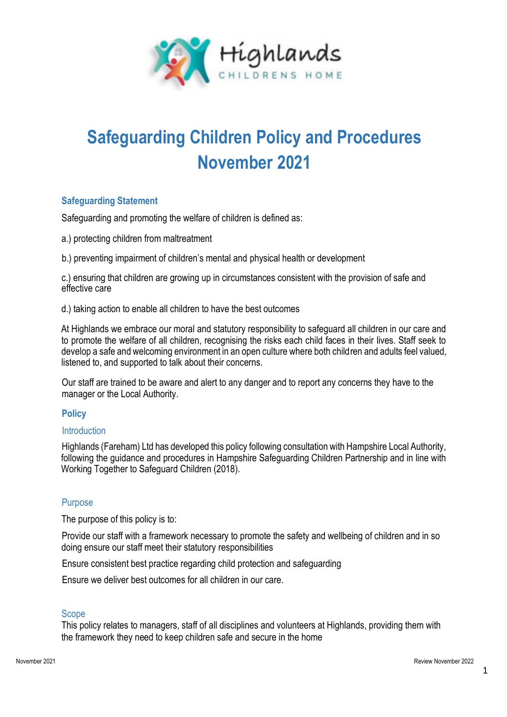

# **Safeguarding Children Policy and Procedures November 2021**

# **Safeguarding Statement**

Safeguarding and promoting the welfare of children is defined as:

a.) protecting children from maltreatment

b.) preventing impairment of children's mental and physical health or development

c.) ensuring that children are growing up in circumstances consistent with the provision of safe and effective care

d.) taking action to enable all children to have the best outcomes

At Highlands we embrace our moral and statutory responsibility to safeguard all children in our care and to promote the welfare of all children, recognising the risks each child faces in their lives. Staff seek to develop a safe and welcoming environment in an open culture where both children and adults feel valued, listened to, and supported to talk about their concerns.

Our staff are trained to be aware and alert to any danger and to report any concerns they have to the manager or the Local Authority.

# **Policy**

# **Introduction**

Highlands (Fareham) Ltd has developed this policy following consultation with Hampshire Local Authority, following the guidance and procedures in Hampshire Safeguarding Children Partnership and in line with Working Together to Safeguard Children (2018).

# Purpose

The purpose of this policy is to:

Provide our staff with a framework necessary to promote the safety and wellbeing of children and in so doing ensure our staff meet their statutory responsibilities

Ensure consistent best practice regarding child protection and safeguarding

Ensure we deliver best outcomes for all children in our care.

# Scope

This policy relates to managers, staff of all disciplines and volunteers at Highlands, providing them with the framework they need to keep children safe and secure in the home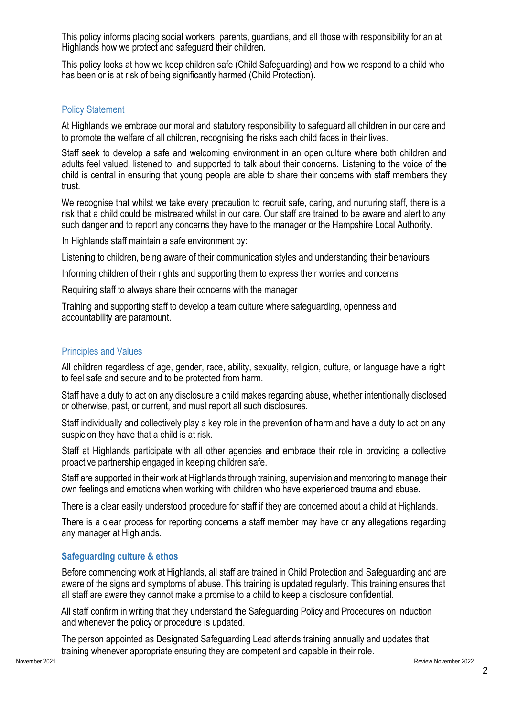This policy informs placing social workers, parents, guardians, and all those with responsibility for an at Highlands how we protect and safeguard their children.

This policy looks at how we keep children safe (Child Safeguarding) and how we respond to a child who has been or is at risk of being significantly harmed (Child Protection).

#### Policy Statement

At Highlands we embrace our moral and statutory responsibility to safeguard all children in our care and to promote the welfare of all children, recognising the risks each child faces in their lives.

Staff seek to develop a safe and welcoming environment in an open culture where both children and adults feel valued, listened to, and supported to talk about their concerns. Listening to the voice of the child is central in ensuring that young people are able to share their concerns with staff members they trust.

We recognise that whilst we take every precaution to recruit safe, caring, and nurturing staff, there is a risk that a child could be mistreated whilst in our care. Our staff are trained to be aware and alert to any such danger and to report any concerns they have to the manager or the Hampshire Local Authority.

In Highlands staff maintain a safe environment by:

Listening to children, being aware of their communication styles and understanding their behaviours

Informing children of their rights and supporting them to express their worries and concerns

Requiring staff to always share their concerns with the manager

Training and supporting staff to develop a team culture where safeguarding, openness and accountability are paramount.

#### Principles and Values

All children regardless of age, gender, race, ability, sexuality, religion, culture, or language have a right to feel safe and secure and to be protected from harm.

Staff have a duty to act on any disclosure a child makes regarding abuse, whether intentionally disclosed or otherwise, past, or current, and must report all such disclosures.

Staff individually and collectively play a key role in the prevention of harm and have a duty to act on any suspicion they have that a child is at risk.

Staff at Highlands participate with all other agencies and embrace their role in providing a collective proactive partnership engaged in keeping children safe.

Staff are supported in their work at Highlands through training, supervision and mentoring to manage their own feelings and emotions when working with children who have experienced trauma and abuse.

There is a clear easily understood procedure for staff if they are concerned about a child at Highlands.

There is a clear process for reporting concerns a staff member may have or any allegations regarding any manager at Highlands.

# **Safeguarding culture & ethos**

Before commencing work at Highlands, all staff are trained in Child Protection and Safeguarding and are aware of the signs and symptoms of abuse. This training is updated regularly. This training ensures that all staff are aware they cannot make a promise to a child to keep a disclosure confidential.

All staff confirm in writing that they understand the Safeguarding Policy and Procedures on induction and whenever the policy or procedure is updated.

The person appointed as Designated Safeguarding Lead attends training annually and updates that training whenever appropriate ensuring they are competent and capable in their role.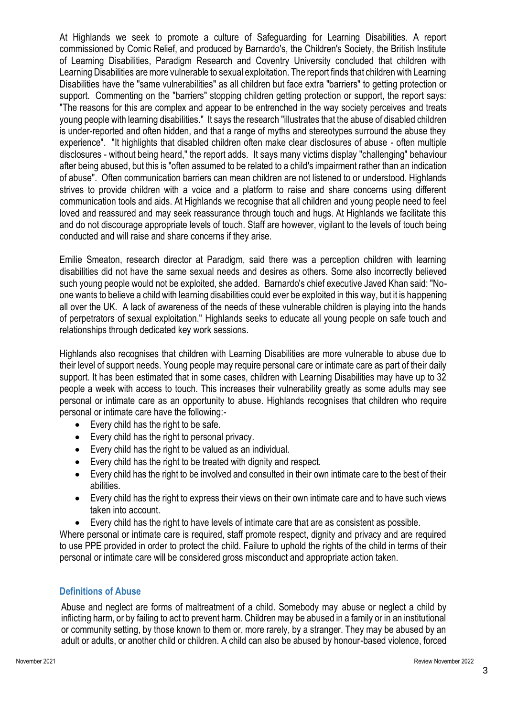At Highlands we seek to promote a culture of Safeguarding for Learning Disabilities. A report commissioned by Comic Relief, and produced by Barnardo's, the Children's Society, the British Institute of Learning Disabilities, Paradigm Research and Coventry University concluded that children with Learning Disabilities are more vulnerable to sexual exploitation. The report finds that children with Learning Disabilities have the "same vulnerabilities" as all children but face extra "barriers" to getting protection or support. Commenting on the "barriers" stopping children getting protection or support, the report says: "The reasons for this are complex and appear to be entrenched in the way society perceives and treats young people with learning disabilities." It says the research "illustrates that the abuse of disabled children is under-reported and often hidden, and that a range of myths and stereotypes surround the abuse they experience". "It highlights that disabled children often make clear disclosures of abuse - often multiple disclosures - without being heard," the report adds. It says many victims display "challenging" behaviour after being abused, but this is "often assumed to be related to a child's impairment rather than an indication of abuse". Often communication barriers can mean children are not listened to or understood. Highlands strives to provide children with a voice and a platform to raise and share concerns using different communication tools and aids. At Highlands we recognise that all children and young people need to feel loved and reassured and may seek reassurance through touch and hugs. At Highlands we facilitate this and do not discourage appropriate levels of touch. Staff are however, vigilant to the levels of touch being conducted and will raise and share concerns if they arise.

Emilie Smeaton, research director at Paradigm, said there was a perception children with learning disabilities did not have the same sexual needs and desires as others. Some also incorrectly believed such young people would not be exploited, she added. Barnardo's chief executive Javed Khan said: "Noone wants to believe a child with learning disabilities could ever be exploited in this way, but it is happening all over the UK. A lack of awareness of the needs of these vulnerable children is playing into the hands of perpetrators of sexual exploitation." Highlands seeks to educate all young people on safe touch and relationships through dedicated key work sessions.

Highlands also recognises that children with Learning Disabilities are more vulnerable to abuse due to their level of support needs. Young people may require personal care or intimate care as part of their daily support. It has been estimated that in some cases, children with Learning Disabilities may have up to 32 people a week with access to touch. This increases their vulnerability greatly as some adults may see personal or intimate care as an opportunity to abuse. Highlands recognises that children who require personal or intimate care have the following:-

- Every child has the right to be safe.
- Every child has the right to personal privacy.
- Every child has the right to be valued as an individual.
- Every child has the right to be treated with dignity and respect.
- Every child has the right to be involved and consulted in their own intimate care to the best of their abilities.
- Every child has the right to express their views on their own intimate care and to have such views taken into account.
- Every child has the right to have levels of intimate care that are as consistent as possible.

Where personal or intimate care is required, staff promote respect, dignity and privacy and are required to use PPE provided in order to protect the child. Failure to uphold the rights of the child in terms of their personal or intimate care will be considered gross misconduct and appropriate action taken.

# **Definitions of Abuse**

Abuse and neglect are forms of maltreatment of a child. Somebody may abuse or neglect a child by inflicting harm, or by failing to act to prevent harm. Children may be abused in a family or in an institutional or community setting, by those known to them or, more rarely, by a stranger. They may be abused by an adult or adults, or another child or children. A child can also be abused by honour-based violence, forced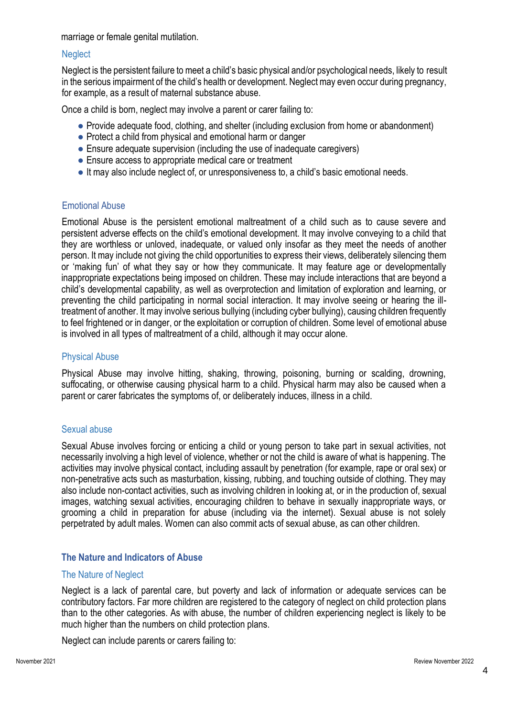marriage or female genital mutilation.

#### **Neglect**

Neglect is the persistent failure to meet a child's basic physical and/or psychological needs, likely to result in the serious impairment of the child's health or development. Neglect may even occur during pregnancy, for example, as a result of maternal substance abuse.

Once a child is born, neglect may involve a parent or carer failing to:

- Provide adequate food, clothing, and shelter (including exclusion from home or abandonment)
- Protect a child from physical and emotional harm or danger
- Ensure adequate supervision (including the use of inadequate caregivers)
- Ensure access to appropriate medical care or treatment
- It may also include neglect of, or unresponsiveness to, a child's basic emotional needs.

#### Emotional Abuse

Emotional Abuse is the persistent emotional maltreatment of a child such as to cause severe and persistent adverse effects on the child's emotional development. It may involve conveying to a child that they are worthless or unloved, inadequate, or valued only insofar as they meet the needs of another person. It may include not giving the child opportunities to express their views, deliberately silencing them or 'making fun' of what they say or how they communicate. It may feature age or developmentally inappropriate expectations being imposed on children. These may include interactions that are beyond a child's developmental capability, as well as overprotection and limitation of exploration and learning, or preventing the child participating in normal social interaction. It may involve seeing or hearing the illtreatment of another. It may involve serious bullying (including cyber bullying), causing children frequently to feel frightened or in danger, or the exploitation or corruption of children. Some level of emotional abuse is involved in all types of maltreatment of a child, although it may occur alone.

#### Physical Abuse

Physical Abuse may involve hitting, shaking, throwing, poisoning, burning or scalding, drowning, suffocating, or otherwise causing physical harm to a child. Physical harm may also be caused when a parent or carer fabricates the symptoms of, or deliberately induces, illness in a child.

#### Sexual abuse

Sexual Abuse involves forcing or enticing a child or young person to take part in sexual activities, not necessarily involving a high level of violence, whether or not the child is aware of what is happening. The activities may involve physical contact, including assault by penetration (for example, rape or oral sex) or non-penetrative acts such as masturbation, kissing, rubbing, and touching outside of clothing. They may also include non-contact activities, such as involving children in looking at, or in the production of, sexual images, watching sexual activities, encouraging children to behave in sexually inappropriate ways, or grooming a child in preparation for abuse (including via the internet). Sexual abuse is not solely perpetrated by adult males. Women can also commit acts of sexual abuse, as can other children.

# **The Nature and Indicators of Abuse**

#### The Nature of Neglect

Neglect is a lack of parental care, but poverty and lack of information or adequate services can be contributory factors. Far more children are registered to the category of neglect on child protection plans than to the other categories. As with abuse, the number of children experiencing neglect is likely to be much higher than the numbers on child protection plans.

Neglect can include parents or carers failing to: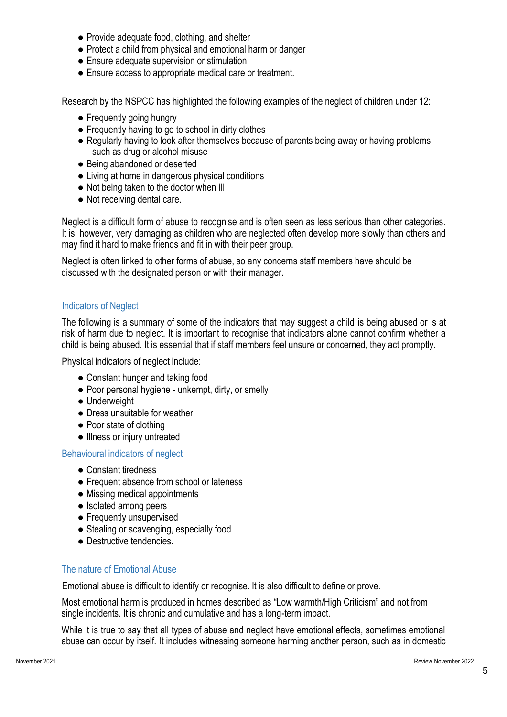- Provide adequate food, clothing, and shelter
- Protect a child from physical and emotional harm or danger
- Ensure adequate supervision or stimulation
- Ensure access to appropriate medical care or treatment.

Research by the NSPCC has highlighted the following examples of the neglect of children under 12:

- Frequently going hungry
- Frequently having to go to school in dirty clothes
- Regularly having to look after themselves because of parents being away or having problems such as drug or alcohol misuse
- Being abandoned or deserted
- Living at home in dangerous physical conditions
- Not being taken to the doctor when ill
- Not receiving dental care.

Neglect is a difficult form of abuse to recognise and is often seen as less serious than other categories. It is, however, very damaging as children who are neglected often develop more slowly than others and may find it hard to make friends and fit in with their peer group.

Neglect is often linked to other forms of abuse, so any concerns staff members have should be discussed with the designated person or with their manager.

# Indicators of Neglect

The following is a summary of some of the indicators that may suggest a child is being abused or is at risk of harm due to neglect. It is important to recognise that indicators alone cannot confirm whether a child is being abused. It is essential that if staff members feel unsure or concerned, they act promptly.

Physical indicators of neglect include:

- Constant hunger and taking food
- Poor personal hygiene unkempt, dirty, or smelly
- Underweight
- Dress unsuitable for weather
- Poor state of clothing
- Illness or injury untreated

# Behavioural indicators of neglect

- Constant tiredness
- Frequent absence from school or lateness
- Missing medical appointments
- Isolated among peers
- Frequently unsupervised
- Stealing or scavenging, especially food
- Destructive tendencies.

# The nature of Emotional Abuse

Emotional abuse is difficult to identify or recognise. It is also difficult to define or prove.

Most emotional harm is produced in homes described as "Low warmth/High Criticism" and not from single incidents. It is chronic and cumulative and has a long-term impact.

While it is true to say that all types of abuse and neglect have emotional effects, sometimes emotional abuse can occur by itself. It includes witnessing someone harming another person, such as in domestic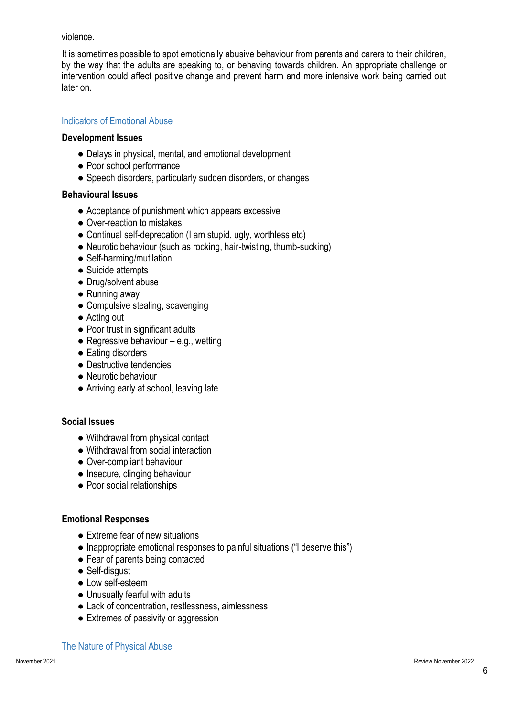violence.

It is sometimes possible to spot emotionally abusive behaviour from parents and carers to their children, by the way that the adults are speaking to, or behaving towards children. An appropriate challenge or intervention could affect positive change and prevent harm and more intensive work being carried out later on.

# Indicators of Emotional Abuse

#### **Development Issues**

- Delays in physical, mental, and emotional development
- Poor school performance
- Speech disorders, particularly sudden disorders, or changes

#### **Behavioural Issues**

- Acceptance of punishment which appears excessive
- Over-reaction to mistakes
- Continual self-deprecation (I am stupid, ugly, worthless etc)
- Neurotic behaviour (such as rocking, hair-twisting, thumb-sucking)
- Self-harming/mutilation
- Suicide attempts
- Drug/solvent abuse
- Running away
- Compulsive stealing, scavenging
- Acting out
- Poor trust in significant adults
- $\bullet$  Regressive behaviour e.g., wetting
- Eating disorders
- Destructive tendencies
- Neurotic behaviour
- Arriving early at school, leaving late

# **Social Issues**

- Withdrawal from physical contact
- Withdrawal from social interaction
- Over-compliant behaviour
- Insecure, clinging behaviour
- Poor social relationships

# **Emotional Responses**

- Extreme fear of new situations
- Inappropriate emotional responses to painful situations ("I deserve this")
- Fear of parents being contacted
- Self-disaust
- Low self-esteem
- Unusually fearful with adults
- Lack of concentration, restlessness, aimlessness
- Extremes of passivity or aggression

#### The Nature of Physical Abuse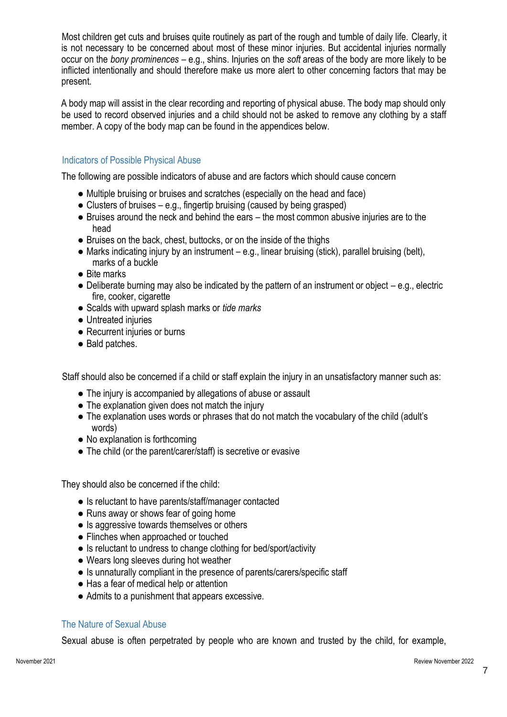Most children get cuts and bruises quite routinely as part of the rough and tumble of daily life. Clearly, it is not necessary to be concerned about most of these minor injuries. But accidental injuries normally occur on the *bony prominences* – e.g., shins. Injuries on the *soft* areas of the body are more likely to be inflicted intentionally and should therefore make us more alert to other concerning factors that may be present.

A body map will assist in the clear recording and reporting of physical abuse. The body map should only be used to record observed injuries and a child should not be asked to remove any clothing by a staff member. A copy of the body map can be found in the appendices below.

# Indicators of Possible Physical Abuse

The following are possible indicators of abuse and are factors which should cause concern

- Multiple bruising or bruises and scratches (especially on the head and face)
- Clusters of bruises e.g., fingertip bruising (caused by being grasped)
- Bruises around the neck and behind the ears the most common abusive injuries are to the head
- Bruises on the back, chest, buttocks, or on the inside of the thighs
- Marks indicating injury by an instrument e.g., linear bruising (stick), parallel bruising (belt), marks of a buckle
- Bite marks
- Deliberate burning may also be indicated by the pattern of an instrument or object e.g., electric fire, cooker, cigarette
- Scalds with upward splash marks or *tide marks*
- Untreated injuries
- Recurrent injuries or burns
- Bald patches.

Staff should also be concerned if a child or staff explain the injury in an unsatisfactory manner such as:

- The injury is accompanied by allegations of abuse or assault
- The explanation given does not match the injury
- The explanation uses words or phrases that do not match the vocabulary of the child (adult's words)
- No explanation is forthcoming
- The child (or the parent/carer/staff) is secretive or evasive

They should also be concerned if the child:

- Is reluctant to have parents/staff/manager contacted
- Runs away or shows fear of going home
- Is aggressive towards themselves or others
- Flinches when approached or touched
- Is reluctant to undress to change clothing for bed/sport/activity
- Wears long sleeves during hot weather
- Is unnaturally compliant in the presence of parents/carers/specific staff
- Has a fear of medical help or attention
- Admits to a punishment that appears excessive.

# The Nature of Sexual Abuse

Sexual abuse is often perpetrated by people who are known and trusted by the child, for example,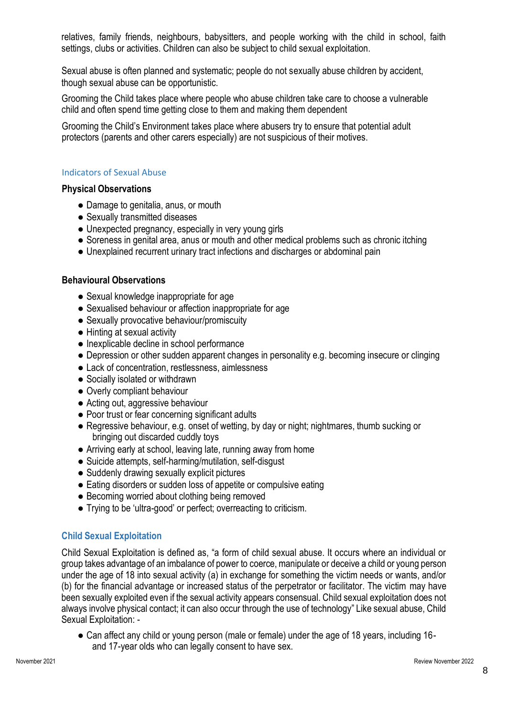relatives, family friends, neighbours, babysitters, and people working with the child in school, faith settings, clubs or activities. Children can also be subject to child sexual exploitation.

Sexual abuse is often planned and systematic; people do not sexually abuse children by accident, though sexual abuse can be opportunistic.

Grooming the Child takes place where people who abuse children take care to choose a vulnerable child and often spend time getting close to them and making them dependent

Grooming the Child's Environment takes place where abusers try to ensure that potential adult protectors (parents and other carers especially) are not suspicious of their motives.

#### Indicators of Sexual Abuse

#### **Physical Observations**

- Damage to genitalia, anus, or mouth
- Sexually transmitted diseases
- Unexpected pregnancy, especially in very young girls
- Soreness in genital area, anus or mouth and other medical problems such as chronic itching
- Unexplained recurrent urinary tract infections and discharges or abdominal pain

# **Behavioural Observations**

- Sexual knowledge inappropriate for age
- Sexualised behaviour or affection inappropriate for age
- Sexually provocative behaviour/promiscuity
- Hinting at sexual activity
- Inexplicable decline in school performance
- Depression or other sudden apparent changes in personality e.g. becoming insecure or clinging
- Lack of concentration, restlessness, aimlessness
- Socially isolated or withdrawn
- Overly compliant behaviour
- Acting out, aggressive behaviour
- Poor trust or fear concerning significant adults
- Regressive behaviour, e.g. onset of wetting, by day or night; nightmares, thumb sucking or bringing out discarded cuddly toys
- Arriving early at school, leaving late, running away from home
- Suicide attempts, self-harming/mutilation, self-disgust
- Suddenly drawing sexually explicit pictures
- Eating disorders or sudden loss of appetite or compulsive eating
- Becoming worried about clothing being removed
- Trying to be 'ultra-good' or perfect; overreacting to criticism.

# **Child Sexual Exploitation**

Child Sexual Exploitation is defined as, "a form of child sexual abuse. It occurs where an individual or group takes advantage of an imbalance of power to coerce, manipulate or deceive a child or young person under the age of 18 into sexual activity (a) in exchange for something the victim needs or wants, and/or (b) for the financial advantage or increased status of the perpetrator or facilitator. The victim may have been sexually exploited even if the sexual activity appears consensual. Child sexual exploitation does not always involve physical contact; it can also occur through the use of technology" Like sexual abuse, Child Sexual Exploitation: -

● Can affect any child or young person (male or female) under the age of 18 years, including 16 and 17-year olds who can legally consent to have sex.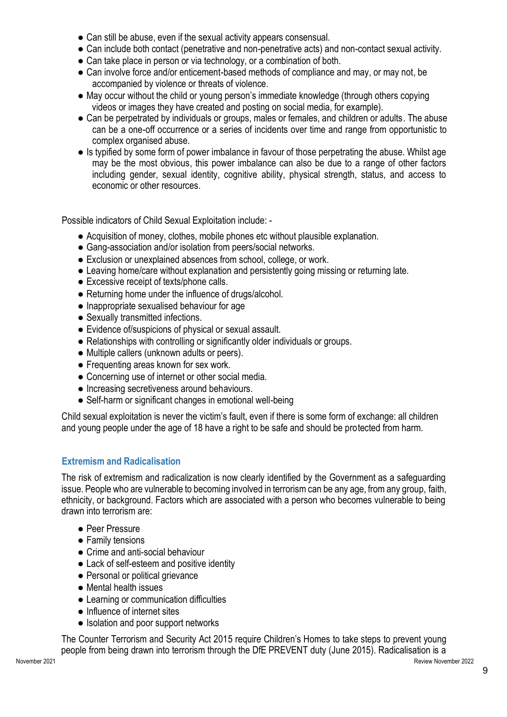- Can still be abuse, even if the sexual activity appears consensual.
- Can include both contact (penetrative and non-penetrative acts) and non-contact sexual activity.
- Can take place in person or via technology, or a combination of both.
- Can involve force and/or enticement-based methods of compliance and may, or may not, be accompanied by violence or threats of violence.
- May occur without the child or young person's immediate knowledge (through others copying videos or images they have created and posting on social media, for example).
- Can be perpetrated by individuals or groups, males or females, and children or adults. The abuse can be a one-off occurrence or a series of incidents over time and range from opportunistic to complex organised abuse.
- Is typified by some form of power imbalance in favour of those perpetrating the abuse. Whilst age may be the most obvious, this power imbalance can also be due to a range of other factors including gender, sexual identity, cognitive ability, physical strength, status, and access to economic or other resources.

Possible indicators of Child Sexual Exploitation include: -

- Acquisition of money, clothes, mobile phones etc without plausible explanation.
- Gang-association and/or isolation from peers/social networks.
- Exclusion or unexplained absences from school, college, or work.
- Leaving home/care without explanation and persistently going missing or returning late.
- Excessive receipt of texts/phone calls.
- Returning home under the influence of drugs/alcohol.
- Inappropriate sexualised behaviour for age
- Sexually transmitted infections.
- Evidence of/suspicions of physical or sexual assault.
- Relationships with controlling or significantly older individuals or groups.
- Multiple callers (unknown adults or peers).
- Frequenting areas known for sex work.
- Concerning use of internet or other social media.
- Increasing secretiveness around behaviours.
- Self-harm or significant changes in emotional well-being

Child sexual exploitation is never the victim's fault, even if there is some form of exchange: all children and young people under the age of 18 have a right to be safe and should be protected from harm.

# **Extremism and Radicalisation**

The risk of extremism and radicalization is now clearly identified by the Government as a safeguarding issue. People who are vulnerable to becoming involved in terrorism can be any age, from any group, faith, ethnicity, or background. Factors which are associated with a person who becomes vulnerable to being drawn into terrorism are:

- Peer Pressure
- Family tensions
- Crime and anti-social behaviour
- Lack of self-esteem and positive identity
- Personal or political grievance
- Mental health issues
- Learning or communication difficulties
- Influence of internet sites
- Isolation and poor support networks

The Counter Terrorism and Security Act 2015 require Children's Homes to take steps to prevent young people from being drawn into terrorism through the DfE PREVENT duty (June 2015). Radicalisation is a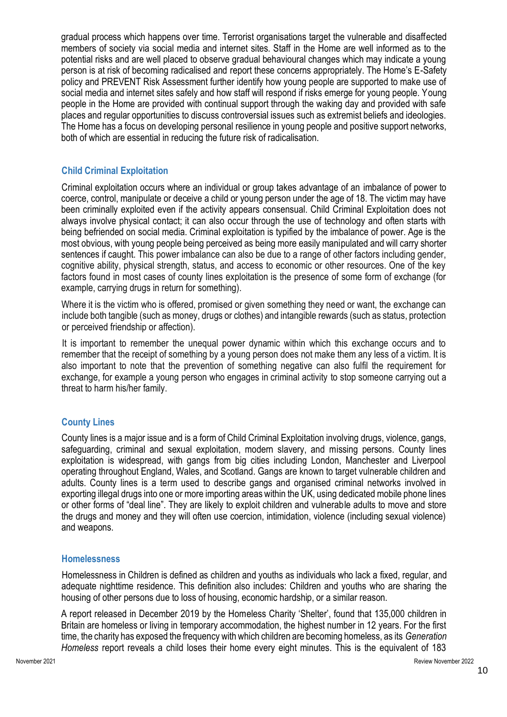gradual process which happens over time. Terrorist organisations target the vulnerable and disaffected members of society via social media and internet sites. Staff in the Home are well informed as to the potential risks and are well placed to observe gradual behavioural changes which may indicate a young person is at risk of becoming radicalised and report these concerns appropriately. The Home's E-Safety policy and PREVENT Risk Assessment further identify how young people are supported to make use of social media and internet sites safely and how staff will respond if risks emerge for young people. Young people in the Home are provided with continual support through the waking day and provided with safe places and regular opportunities to discuss controversial issues such as extremist beliefs and ideologies. The Home has a focus on developing personal resilience in young people and positive support networks, both of which are essential in reducing the future risk of radicalisation.

# **Child Criminal Exploitation**

Criminal exploitation occurs where an individual or group takes advantage of an imbalance of power to coerce, control, manipulate or deceive a child or young person under the age of 18. The victim may have been criminally exploited even if the activity appears consensual. Child Criminal Exploitation does not always involve physical contact; it can also occur through the use of technology and often starts with being befriended on social media. Criminal exploitation is typified by the imbalance of power. Age is the most obvious, with young people being perceived as being more easily manipulated and will carry shorter sentences if caught. This power imbalance can also be due to a range of other factors including gender, cognitive ability, physical strength, status, and access to economic or other resources. One of the key factors found in most cases of county lines exploitation is the presence of some form of exchange (for example, carrying drugs in return for something).

Where it is the victim who is offered, promised or given something they need or want, the exchange can include both tangible (such as money, drugs or clothes) and intangible rewards (such as status, protection or perceived friendship or affection).

It is important to remember the unequal power dynamic within which this exchange occurs and to remember that the receipt of something by a young person does not make them any less of a victim. It is also important to note that the prevention of something negative can also fulfil the requirement for exchange, for example a young person who engages in criminal activity to stop someone carrying out a threat to harm his/her family.

# **County Lines**

County lines is a major issue and is a form of Child Criminal Exploitation involving drugs, violence, gangs, safeguarding, criminal and sexual exploitation, modern slavery, and missing persons. County lines exploitation is widespread, with gangs from big cities including London, Manchester and Liverpool operating throughout England, Wales, and Scotland. Gangs are known to target vulnerable children and adults. County lines is a term used to describe gangs and organised criminal networks involved in exporting illegal drugs into one or more importing areas within the UK, using dedicated mobile phone lines or other forms of "deal line". They are likely to exploit children and vulnerable adults to move and store the drugs and money and they will often use coercion, intimidation, violence (including sexual violence) and weapons.

# **Homelessness**

Homelessness in Children is defined as children and youths as individuals who lack a fixed, regular, and adequate nighttime residence. This definition also includes: Children and youths who are sharing the housing of other persons due to loss of housing, economic hardship, or a similar reason.

A report released in December 2019 by the Homeless Charity 'Shelter', found that 135,000 children in Britain are homeless or living in temporary accommodation, the highest number in 12 years. For the first time, the charity has exposed the frequency with which children are becoming homeless, as its *Generation Homeless* report reveals a child loses their home every eight minutes. This is the equivalent of 183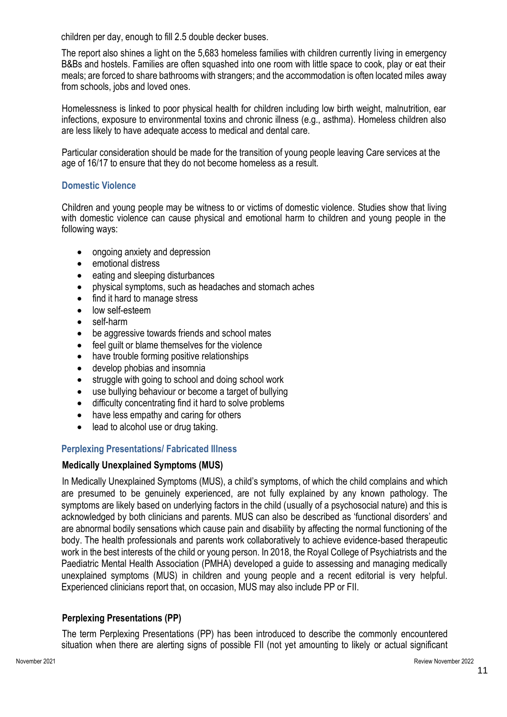children per day, enough to fill 2.5 double decker buses.

The report also shines a light on the 5,683 homeless families with children currently living in emergency B&Bs and hostels. Families are often squashed into one room with little space to cook, play or eat their meals; are forced to share bathrooms with strangers; and the accommodation is often located miles away from schools, jobs and loved ones.

Homelessness is linked to poor physical health for children including low birth weight, malnutrition, ear infections, exposure to environmental toxins and chronic illness (e.g., asthma). Homeless children also are less likely to have adequate access to medical and dental care.

Particular consideration should be made for the transition of young people leaving Care services at the age of 16/17 to ensure that they do not become homeless as a result.

#### **Domestic Violence**

Children and young people may be witness to or victims of domestic violence. Studies show that living with domestic violence can cause physical and emotional harm to children and young people in the following ways:

- ongoing anxiety and depression
- emotional distress
- eating and sleeping disturbances
- physical symptoms, such as headaches and stomach aches
- find it hard to manage stress
- low self-esteem
- self-harm
- be aggressive towards friends and school mates
- feel quilt or blame themselves for the violence
- have trouble forming positive relationships
- develop phobias and insomnia
- struggle with going to school and doing school work
- use bullying behaviour or become a target of bullying
- difficulty concentrating find it hard to solve problems
- have less empathy and caring for others
- lead to alcohol use or drug taking.

#### **Perplexing Presentations/ Fabricated Illness**

#### **Medically Unexplained Symptoms (MUS)**

In Medically Unexplained Symptoms (MUS), a child's symptoms, of which the child complains and which are presumed to be genuinely experienced, are not fully explained by any known pathology. The symptoms are likely based on underlying factors in the child (usually of a psychosocial nature) and this is acknowledged by both clinicians and parents. MUS can also be described as 'functional disorders' and are abnormal bodily sensations which cause pain and disability by affecting the normal functioning of the body. The health professionals and parents work collaboratively to achieve evidence-based therapeutic work in the best interests of the child or young person. In 2018, the Royal College of Psychiatrists and the Paediatric Mental Health Association (PMHA) developed a guide to assessing and managing medically unexplained symptoms (MUS) in children and young people and a recent editorial is very helpful. Experienced clinicians report that, on occasion, MUS may also include PP or FII.

# **Perplexing Presentations (PP)**

The term Perplexing Presentations (PP) has been introduced to describe the commonly encountered situation when there are alerting signs of possible FII (not yet amounting to likely or actual significant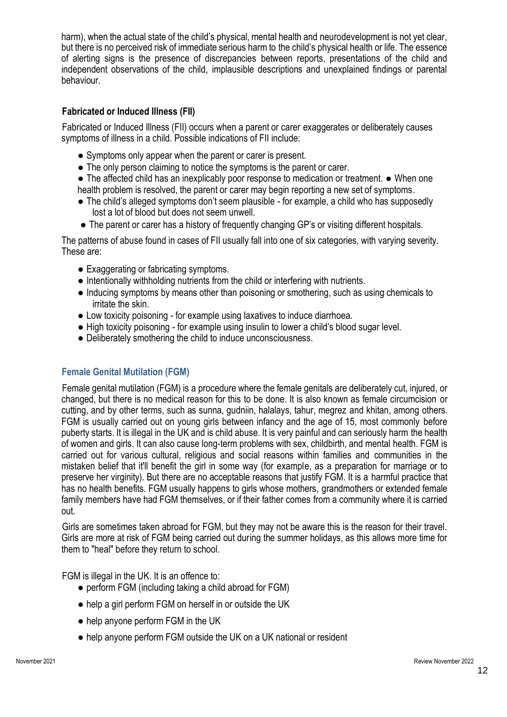harm), when the actual state of the child's physical, mental health and neurodevelopment is not yet clear, but there is no perceived risk of immediate serious harm to the child's physical health or life. The essence of alerting signs is the presence of discrepancies between reports, presentations of the child and independent observations of the child, implausible descriptions and unexplained findings or parental behaviour.

# **Fabricated or Induced Illness (FII)**

Fabricated or Induced Illness (FII) occurs when a parent or carer exaggerates or deliberately causes symptoms of illness in a child. Possible indications of FII include:

- Symptoms only appear when the parent or carer is present.
- The only person claiming to notice the symptoms is the parent or carer.
- The affected child has an inexplicably poor response to medication or treatment. When one health problem is resolved, the parent or carer may begin reporting a new set of symptoms.
- The child's alleged symptoms don't seem plausible for example, a child who has supposedly lost a lot of blood but does not seem unwell.
- The parent or carer has a history of frequently changing GP's or visiting different hospitals.

The patterns of abuse found in cases of FII usually fall into one of six categories, with varying severity. These are:

- Exaggerating or fabricating symptoms.
- Intentionally withholding nutrients from the child or interfering with nutrients.
- Inducing symptoms by means other than poisoning or smothering, such as using chemicals to irritate the skin.
- Low toxicity poisoning for example using laxatives to induce diarrhoea.
- High toxicity poisoning for example using insulin to lower a child's blood sugar level.
- Deliberately smothering the child to induce unconsciousness.

# **Female Genital Mutilation (FGM)**

Female genital mutilation (FGM) is a procedure where the female genitals are deliberately cut, injured, or changed, but there is no medical reason for this to be done. It is also known as female circumcision or cutting, and by other terms, such as sunna, gudniin, halalays, tahur, megrez and khitan, among others. FGM is usually carried out on young girls between infancy and the age of 15, most commonly before puberty starts. It is illegal in the UK and is child abuse. It is very painful and can seriously harm the health of women and girls. It can also cause long-term problems with sex, childbirth, and mental health. FGM is carried out for various cultural, religious and social reasons within families and communities in the mistaken belief that it'll benefit the girl in some way (for example, as a preparation for marriage or to preserve her virginity). But there are no acceptable reasons that justify FGM. It is a harmful practice that has no health benefits. FGM usually happens to girls whose mothers, grandmothers or extended female family members have had FGM themselves, or if their father comes from a community where it is carried out.

Girls are sometimes taken abroad for FGM, but they may not be aware this is the reason for their travel. Girls are more at risk of FGM being carried out during the summer holidays, as this allows more time for them to "heal" before they return to school.

FGM is illegal in the UK. It is an offence to:

- perform FGM (including taking a child abroad for FGM)
- help a girl perform FGM on herself in or outside the UK
- help anyone perform FGM in the UK
- help anyone perform FGM outside the UK on a UK national or resident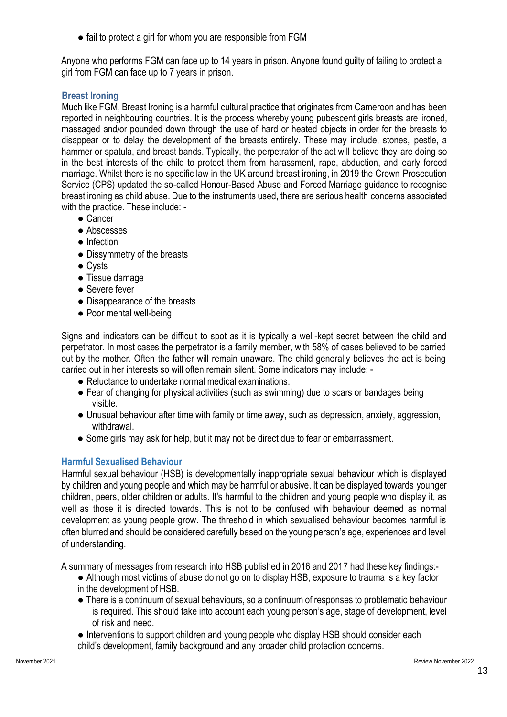• fail to protect a girl for whom you are responsible from FGM

Anyone who performs FGM can face up to 14 years in prison. Anyone found guilty of failing to protect a girl from FGM can face up to 7 years in prison.

# **Breast Ironing**

Much like FGM, Breast Ironing is a harmful cultural practice that originates from Cameroon and has been reported in neighbouring countries. It is the process whereby young pubescent girls breasts are ironed, massaged and/or pounded down through the use of hard or heated objects in order for the breasts to disappear or to delay the development of the breasts entirely. These may include, stones, pestle, a hammer or spatula, and breast bands. Typically, the perpetrator of the act will believe they are doing so in the best interests of the child to protect them from harassment, rape, abduction, and early forced marriage. Whilst there is no specific law in the UK around breast ironing, in 2019 the Crown Prosecution Service (CPS) updated the so-called Honour-Based Abuse and Forced Marriage guidance to recognise breast ironing as child abuse. Due to the instruments used, there are serious health concerns associated with the practice. These include: -

- Cancer
- Abscesses
- Infection
- Dissymmetry of the breasts
- Cysts
- Tissue damage
- Severe fever
- Disappearance of the breasts
- Poor mental well-being

Signs and indicators can be difficult to spot as it is typically a well-kept secret between the child and perpetrator. In most cases the perpetrator is a family member, with 58% of cases believed to be carried out by the mother. Often the father will remain unaware. The child generally believes the act is being carried out in her interests so will often remain silent. Some indicators may include: -

- Reluctance to undertake normal medical examinations.
- Fear of changing for physical activities (such as swimming) due to scars or bandages being visible.
- Unusual behaviour after time with family or time away, such as depression, anxiety, aggression, withdrawal.
- Some girls may ask for help, but it may not be direct due to fear or embarrassment.

# **Harmful Sexualised Behaviour**

Harmful sexual behaviour (HSB) is developmentally inappropriate sexual behaviour which is displayed by children and young people and which may be harmful or abusive. It can be displayed towards younger children, peers, older children or adults. It's harmful to the children and young people who display it, as well as those it is directed towards. This is not to be confused with behaviour deemed as normal development as young people grow. The threshold in which sexualised behaviour becomes harmful is often blurred and should be considered carefully based on the young person's age, experiences and level of understanding.

A summary of messages from research into HSB published in 2016 and 2017 had these key findings:-

- Although most victims of abuse do not go on to display HSB, exposure to trauma is a key factor in the development of HSB.
- There is a continuum of sexual behaviours, so a continuum of responses to problematic behaviour is required. This should take into account each young person's age, stage of development, level of risk and need.
- Interventions to support children and young people who display HSB should consider each child's development, family background and any broader child protection concerns.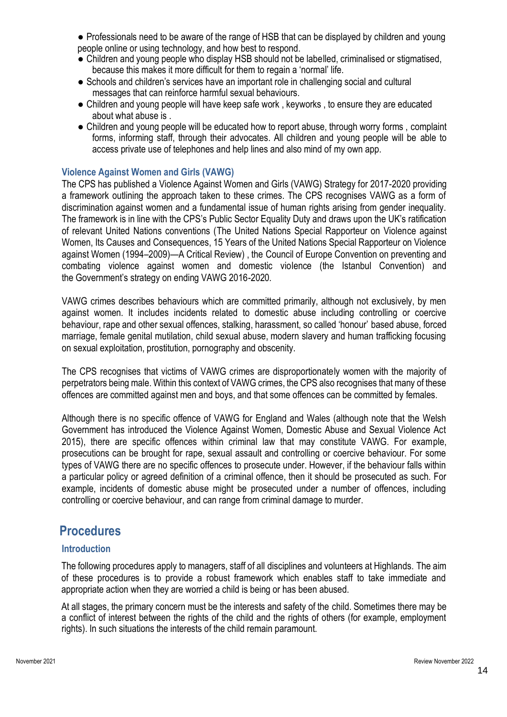● Professionals need to be aware of the range of HSB that can be displayed by children and young people online or using technology, and how best to respond.

- Children and young people who display HSB should not be labelled, criminalised or stigmatised, because this makes it more difficult for them to regain a 'normal' life.
- Schools and children's services have an important role in challenging social and cultural messages that can reinforce harmful sexual behaviours.
- Children and young people will have keep safe work , keyworks , to ensure they are educated about what abuse is .
- Children and young people will be educated how to report abuse, through worry forms, complaint forms, informing staff, through their advocates. All children and young people will be able to access private use of telephones and help lines and also mind of my own app.

#### **Violence Against Women and Girls (VAWG)**

The CPS has published a [Violence Against Women and Girls \(VAWG\) Strategy for 2017-2020](https://www.cps.gov.uk/sites/default/files/documents/legal_guidance/VAWG-Strategy-2017-2020-R01.pdf) providing a framework outlining the approach taken to these crimes. The CPS recognises VAWG as a form of discrimination against women and a fundamental issue of human rights arising from gender inequality. The framework is in line with the CPS's Public Sector Equality Duty and draws upon the UK's ratification of relevant United Nations conventions [\(The United Nations Special Rapporteur on Violence against](http://www.ohchr.org/Documents/Issues/Women/15YearReviewofVAWMandate.pdf)  [Women, Its Causes and Consequences, 15 Years of the United Nations Special Rapporteur on Violence](http://www.ohchr.org/Documents/Issues/Women/15YearReviewofVAWMandate.pdf)  [against Women \(1994](http://www.ohchr.org/Documents/Issues/Women/15YearReviewofVAWMandate.pdf)–2009)—A Critical Review) , the Council of Europe Convention on preventing and combating violence against women and domestic violence (the Istanbul Convention) and the [Government's strategy on ending VAWG 2016](https://www.gov.uk/government/publications/strategy-to-end-violence-against-women-and-girls-2016-to-2020)-2020.

VAWG crimes describes behaviours which are committed primarily, although not exclusively, by men against women. It includes incidents related to domestic abuse including controlling or coercive behaviour, rape and other sexual offences, stalking, harassment, so called 'honour' based abuse, forced marriage, female genital mutilation, child sexual abuse, modern slavery and human trafficking focusing on sexual exploitation, prostitution, pornography and obscenity.

The CPS recognises that victims of VAWG crimes are disproportionately women with the majority of perpetrators being male. Within this context of VAWG crimes, the CPS also recognises that many of these offences are committed against men and boys, and that some offences can be committed by females.

Although there is no specific offence of VAWG for England and Wales (although note that the Welsh Government has introduced the Violence Against Women, Domestic Abuse and Sexual Violence Act 2015), there are specific offences within criminal law that may constitute VAWG. For example, prosecutions can be brought for rape, sexual assault and controlling or coercive behaviour. For some types of VAWG there are no specific offences to prosecute under. However, if the behaviour falls within a particular policy or agreed definition of a criminal offence, then it should be prosecuted as such. For example, incidents of domestic abuse might be prosecuted under a number of offences, including controlling or coercive behaviour, and can range from criminal damage to murder.

# **Procedures**

#### **Introduction**

The following procedures apply to managers, staff of all disciplines and volunteers at Highlands. The aim of these procedures is to provide a robust framework which enables staff to take immediate and appropriate action when they are worried a child is being or has been abused.

At all stages, the primary concern must be the interests and safety of the child. Sometimes there may be a conflict of interest between the rights of the child and the rights of others (for example, employment rights). In such situations the interests of the child remain paramount.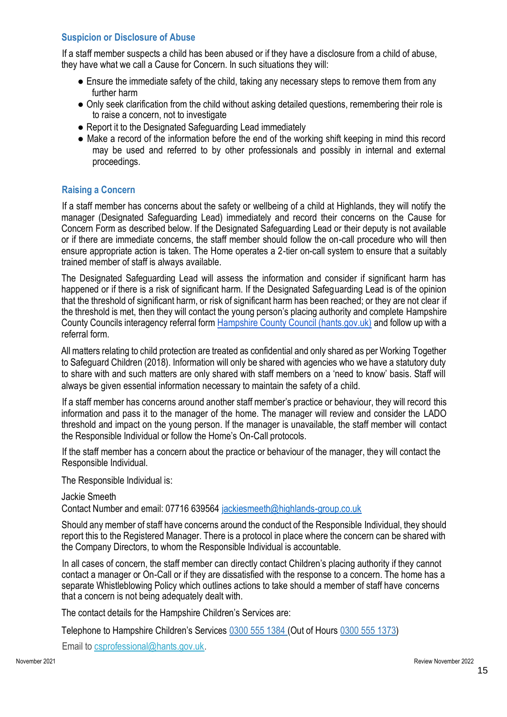# **Suspicion or Disclosure of Abuse**

If a staff member suspects a child has been abused or if they have a disclosure from a child of abuse, they have what we call a Cause for Concern. In such situations they will:

- Ensure the immediate safety of the child, taking any necessary steps to remove them from any further harm
- Only seek clarification from the child without asking detailed questions, remembering their role is to raise a concern, not to investigate
- Report it to the Designated Safeguarding Lead immediately
- Make a record of the information before the end of the working shift keeping in mind this record may be used and referred to by other professionals and possibly in internal and external proceedings.

# **Raising a Concern**

If a staff member has concerns about the safety or wellbeing of a child at Highlands, they will notify the manager (Designated Safeguarding Lead) immediately and record their concerns on the Cause for Concern Form as described below. If the Designated Safeguarding Lead or their deputy is not available or if there are immediate concerns, the staff member should follow the on-call procedure who will then ensure appropriate action is taken. The Home operates a 2-tier on-call system to ensure that a suitably trained member of staff is always available.

The Designated Safeguarding Lead will assess the information and consider if significant harm has happened or if there is a risk of significant harm. If the Designated Safeguarding Lead is of the opinion that the threshold of significant harm, or risk of significant harm has been reached; or they are not clear if the threshold is met, then they will contact the young person's placing authority and complete Hampshire County Councils interagency referral form Hampshire County Council (hants.gov.uk) and follow up with a referral form.

All matters relating to child protection are treated as confidential and only shared as per Working Together to Safeguard Children (2018). Information will only be shared with agencies who we have a statutory duty to share with and such matters are only shared with staff members on a 'need to know' basis. Staff will always be given essential information necessary to maintain the safety of a child.

If a staff member has concerns around another staff member's practice or behaviour, they will record this information and pass it to the manager of the home. The manager will review and consider the LADO threshold and impact on the young person. If the manager is unavailable, the staff member will contact the Responsible Individual or follow the Home's On-Call protocols.

If the staff member has a concern about the practice or behaviour of the manager, they will contact the Responsible Individual.

The Responsible Individual is:

Jackie Smeeth Contact Number and email: 07716 639564 jackiesmeeth@highlands-group.co.uk

Should any member of staff have concerns around the conduct of the Responsible Individual, they should report this to the Registered Manager. There is a protocol in place where the concern can be shared with the Company Directors, to whom the Responsible Individual is accountable.

In all cases of concern, the staff member can directly contact Children's placing authority if they cannot contact a manager or On-Call or if they are dissatisfied with the response to a concern. The home has a separate Whistleblowing Policy which outlines actions to take should a member of staff have concerns that a concern is not being adequately dealt with.

The contact details for the Hampshire Children's Services are:

Telephone to Hampshire Children's Services 0300 555 1384 (Out of Hours 0300 555 1373)

Email to csprofessional@hants.gov.uk.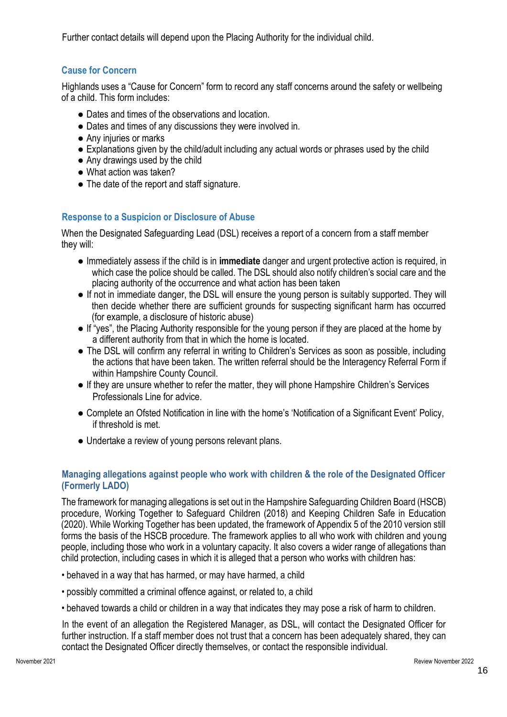Further contact details will depend upon the Placing Authority for the individual child.

# **Cause for Concern**

Highlands uses a "Cause for Concern" form to record any staff concerns around the safety or wellbeing of a child. This form includes:

- Dates and times of the observations and location.
- Dates and times of any discussions they were involved in.
- Any injuries or marks
- Explanations given by the child/adult including any actual words or phrases used by the child
- Any drawings used by the child
- What action was taken?
- The date of the report and staff signature.

# **Response to a Suspicion or Disclosure of Abuse**

When the Designated Safeguarding Lead (DSL) receives a report of a concern from a staff member they will:

- Immediately assess if the child is in **immediate** danger and urgent protective action is required, in which case the police should be called. The DSL should also notify children's social care and the placing authority of the occurrence and what action has been taken
- If not in immediate danger, the DSL will ensure the young person is suitably supported. They will then decide whether there are sufficient grounds for suspecting significant harm has occurred (for example, a disclosure of historic abuse)
- If "yes", the Placing Authority responsible for the young person if they are placed at the home by a different authority from that in which the home is located.
- The DSL will confirm any referral in writing to Children's Services as soon as possible, including the actions that have been taken. The written referral should be the Interagency Referral Form if within Hampshire County Council.
- If they are unsure whether to refer the matter, they will phone Hampshire Children's Services Professionals Line for advice.
- Complete an Ofsted Notification in line with the home's 'Notification of a Significant Event' Policy, if threshold is met.
- Undertake a review of young persons relevant plans.

# **Managing allegations against people who work with children & the role of the Designated Officer (Formerly LADO)**

The framework for managing allegations is set out in the Hampshire Safeguarding Children Board (HSCB) procedure, Working Together to Safeguard Children (2018) and Keeping Children Safe in Education (2020). While Working Together has been updated, the framework of Appendix 5 of the 2010 version still forms the basis of the HSCB procedure. The framework applies to all who work with children and young people, including those who work in a voluntary capacity. It also covers a wider range of allegations than child protection, including cases in which it is alleged that a person who works with children has:

- behaved in a way that has harmed, or may have harmed, a child
- possibly committed a criminal offence against, or related to, a child
- behaved towards a child or children in a way that indicates they may pose a risk of harm to children.

In the event of an allegation the Registered Manager, as DSL, will contact the Designated Officer for further instruction. If a staff member does not trust that a concern has been adequately shared, they can contact the Designated Officer directly themselves, or contact the responsible individual.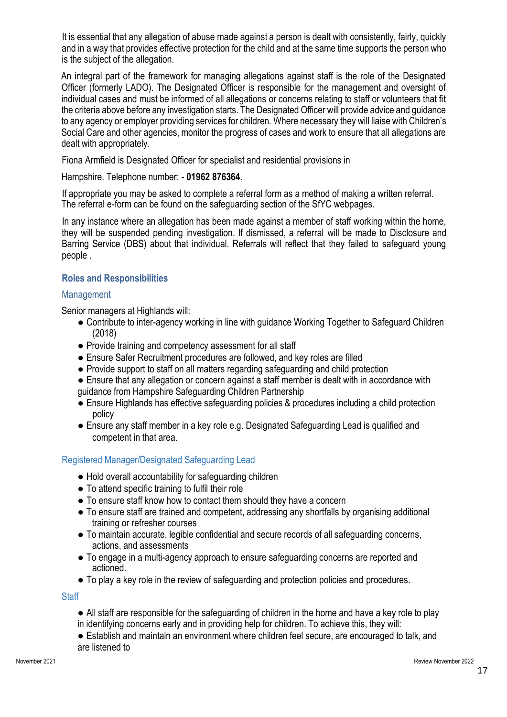It is essential that any allegation of abuse made against a person is dealt with consistently, fairly, quickly and in a way that provides effective protection for the child and at the same time supports the person who is the subject of the allegation.

An integral part of the framework for managing allegations against staff is the role of the Designated Officer (formerly LADO). The Designated Officer is responsible for the management and oversight of individual cases and must be informed of all allegations or concerns relating to staff or volunteers that fit the criteria above before any investigation starts. The Designated Officer will provide advice and guidance to any agency or employer providing services for children. Where necessary they will liaise with Children's Social Care and other agencies, monitor the progress of cases and work to ensure that all allegations are dealt with appropriately.

Fiona Armfield is Designated Officer for specialist and residential provisions in

#### Hampshire. Telephone number: - **01962 876364**.

If appropriate you may be asked to complete a referral form as a method of making a written referral. The referral e-form can be found on the safeguarding section of the SfYC webpages.

In any instance where an allegation has been made against a member of staff working within the home, they will be suspended pending investigation. If dismissed, a referral will be made to Disclosure and Barring Service (DBS) about that individual. Referrals will reflect that they failed to safeguard young people .

# **Roles and Responsibilities**

#### Management

Senior managers at Highlands will:

- Contribute to inter-agency working in line with guidance Working Together to Safeguard Children (2018)
- Provide training and competency assessment for all staff
- Ensure Safer Recruitment procedures are followed, and key roles are filled
- Provide support to staff on all matters regarding safeguarding and child protection
- Ensure that any allegation or concern against a staff member is dealt with in accordance with guidance from Hampshire Safeguarding Children Partnership
- Ensure Highlands has effective safeguarding policies & procedures including a child protection policy
- Ensure any staff member in a key role e.g. Designated Safeguarding Lead is qualified and competent in that area.

# Registered Manager/Designated Safeguarding Lead

- Hold overall accountability for safeguarding children
- To attend specific training to fulfil their role
- To ensure staff know how to contact them should they have a concern
- To ensure staff are trained and competent, addressing any shortfalls by organising additional training or refresher courses
- To maintain accurate, legible confidential and secure records of all safeguarding concerns, actions, and assessments
- To engage in a multi-agency approach to ensure safeguarding concerns are reported and actioned.
- To play a key role in the review of safeguarding and protection policies and procedures.

**Staff** 

- All staff are responsible for the safeguarding of children in the home and have a key role to play in identifying concerns early and in providing help for children. To achieve this, they will:
- Establish and maintain an environment where children feel secure, are encouraged to talk, and are listened to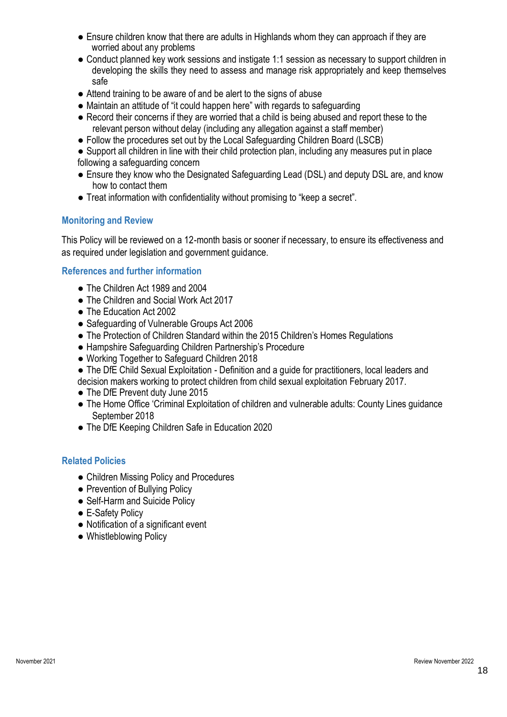- Ensure children know that there are adults in Highlands whom they can approach if they are worried about any problems
- Conduct planned key work sessions and instigate 1:1 session as necessary to support children in developing the skills they need to assess and manage risk appropriately and keep themselves safe
- Attend training to be aware of and be alert to the signs of abuse
- Maintain an attitude of "it could happen here" with regards to safeguarding
- Record their concerns if they are worried that a child is being abused and report these to the relevant person without delay (including any allegation against a staff member)
- Follow the procedures set out by the Local Safeguarding Children Board (LSCB)
- Support all children in line with their child protection plan, including any measures put in place following a safeguarding concern
- Ensure they know who the Designated Safeguarding Lead (DSL) and deputy DSL are, and know how to contact them
- Treat information with confidentiality without promising to "keep a secret".

#### **Monitoring and Review**

This Policy will be reviewed on a 12-month basis or sooner if necessary, to ensure its effectiveness and as required under legislation and government guidance.

#### **References and further information**

- The Children Act 1989 and 2004
- The Children and Social Work Act 2017
- The Education Act 2002
- Safeguarding of Vulnerable Groups Act 2006
- The Protection of Children Standard within the 2015 Children's Homes Regulations
- Hampshire Safeguarding Children Partnership's Procedure
- Working Together to Safeguard Children 2018
- The DfE Child Sexual Exploitation Definition and a guide for practitioners, local leaders and decision makers working to protect children from child sexual exploitation February 2017.
- The DfE Prevent duty June 2015
- The Home Office 'Criminal Exploitation of children and vulnerable adults: County Lines guidance September 2018
- The DfE Keeping Children Safe in Education 2020

#### **Related Policies**

- Children Missing Policy and Procedures
- Prevention of Bullying Policy
- Self-Harm and Suicide Policy
- E-Safety Policy
- Notification of a significant event
- Whistleblowing Policy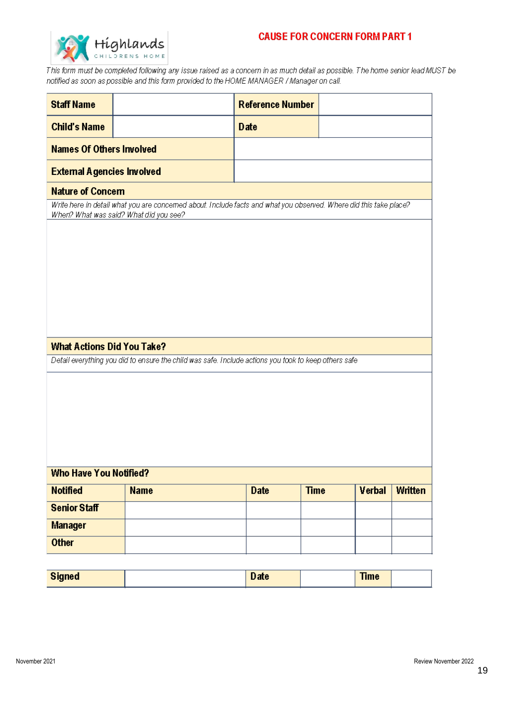# **CAUSE FOR CONCERN FORM PART 1**



This form must be completed following any issue raised as a concern in as much detail as possible. The home senior lead MUST be notified as soon as possible and this form provided to the HOME MANAGER / Manager on call.

| <b>Staff Name</b>                 |                                                                                                                                                             | <b>Reference Number</b>    |        |                |  |
|-----------------------------------|-------------------------------------------------------------------------------------------------------------------------------------------------------------|----------------------------|--------|----------------|--|
| <b>Child's Name</b>               |                                                                                                                                                             | Date                       |        |                |  |
|                                   | <b>Names Of Others Involved</b>                                                                                                                             |                            |        |                |  |
| <b>External Agencies Involved</b> |                                                                                                                                                             |                            |        |                |  |
| <b>Nature of Concern</b>          |                                                                                                                                                             |                            |        |                |  |
|                                   | Write here in detail what you are concemed about. Include facts and what you observed. Where did this take place?<br>When? What was said? What did you see? |                            |        |                |  |
|                                   |                                                                                                                                                             |                            |        |                |  |
|                                   |                                                                                                                                                             |                            |        |                |  |
|                                   |                                                                                                                                                             |                            |        |                |  |
|                                   |                                                                                                                                                             |                            |        |                |  |
|                                   |                                                                                                                                                             |                            |        |                |  |
|                                   |                                                                                                                                                             |                            |        |                |  |
|                                   |                                                                                                                                                             |                            |        |                |  |
| <b>What Actions Did You Take?</b> |                                                                                                                                                             |                            |        |                |  |
|                                   | Detail everything you did to ensure the child was safe. Include actions you took to keep others safe                                                        |                            |        |                |  |
|                                   |                                                                                                                                                             |                            |        |                |  |
|                                   |                                                                                                                                                             |                            |        |                |  |
|                                   |                                                                                                                                                             |                            |        |                |  |
|                                   |                                                                                                                                                             |                            |        |                |  |
|                                   |                                                                                                                                                             |                            |        |                |  |
|                                   |                                                                                                                                                             |                            |        |                |  |
| <b>Who Have You Notified?</b>     |                                                                                                                                                             |                            |        |                |  |
| <b>Notified</b>                   | <b>Name</b>                                                                                                                                                 | <b>Time</b><br><b>Date</b> | Verbal | <b>Written</b> |  |
| <b>Senior Staff</b>               |                                                                                                                                                             |                            |        |                |  |
| <b>Manager</b>                    |                                                                                                                                                             |                            |        |                |  |
| <b>Other</b>                      |                                                                                                                                                             |                            |        |                |  |
|                                   |                                                                                                                                                             |                            |        |                |  |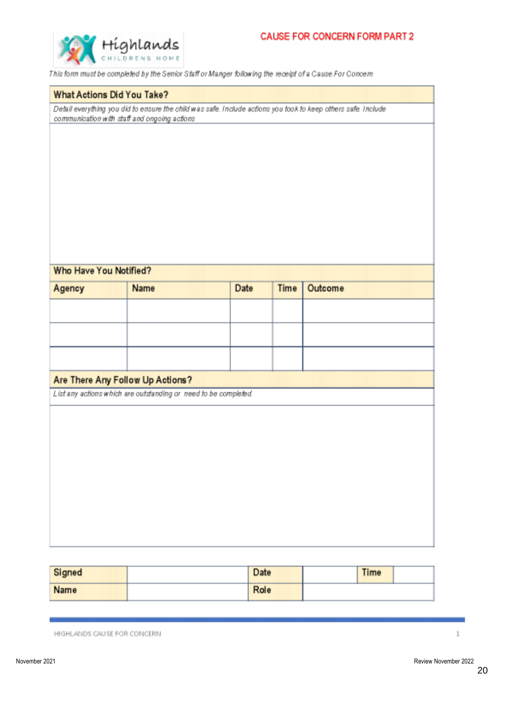

This form must be completed by the Senior Staff or Manger following the receipt of a Cause For Concern

#### What Actions Did You Take?

Detail everything you did to ensure the child was safe. Include actions you took to keep others safe. Include communication with staff and ongoing actions

#### Who Have You Notified?

| Agency | Name                                                            | Date | Time | Outcome |  |
|--------|-----------------------------------------------------------------|------|------|---------|--|
|        |                                                                 |      |      |         |  |
|        |                                                                 |      |      |         |  |
|        |                                                                 |      |      |         |  |
|        | Are There Any Follow Up Actions?                                |      |      |         |  |
|        | List any actions which are outstanding or need to be completed. |      |      |         |  |
|        |                                                                 |      |      |         |  |
|        |                                                                 |      |      |         |  |
|        |                                                                 |      |      |         |  |
|        |                                                                 |      |      |         |  |
|        |                                                                 |      |      |         |  |
|        |                                                                 |      |      |         |  |
|        |                                                                 |      |      |         |  |
|        |                                                                 |      |      |         |  |
|        |                                                                 |      |      |         |  |
|        |                                                                 |      |      |         |  |

| Signed      | Date | <b>Time</b> |  |
|-------------|------|-------------|--|
| <b>Name</b> | Role |             |  |

HIGHLANDS CAUSE FOR CONCERN

 $\mathbf{1}$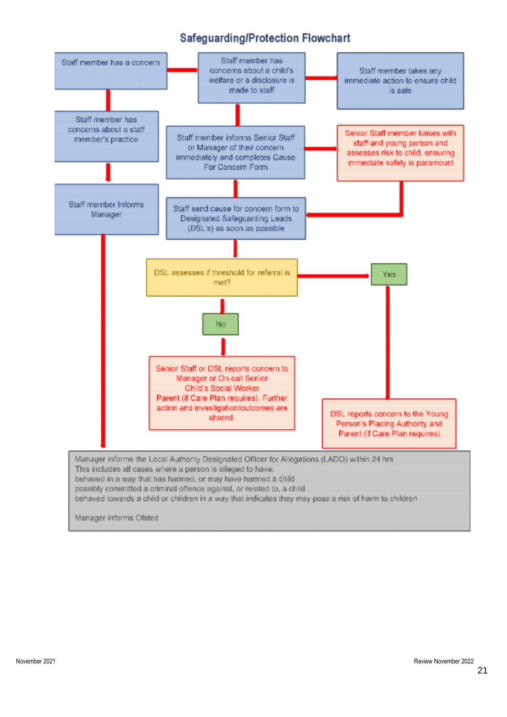# Safeguarding/Protection Flowchart

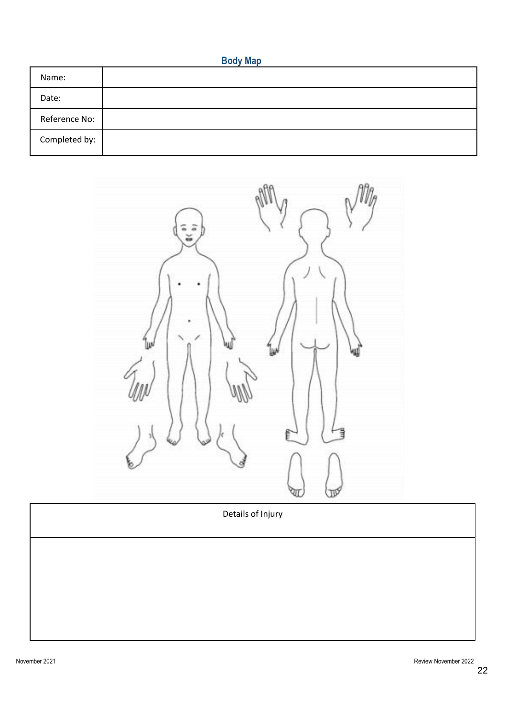|--|--|--|--|

| Name:         |  |
|---------------|--|
| Date:         |  |
| Reference No: |  |
| Completed by: |  |



Details of Injury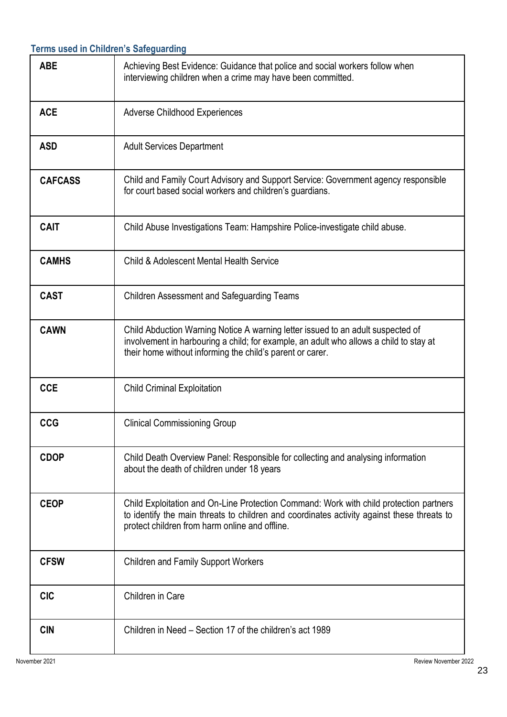|                | <b>Terms used in Children's Safeguarding</b>                                                                                                                                                                                           |
|----------------|----------------------------------------------------------------------------------------------------------------------------------------------------------------------------------------------------------------------------------------|
| <b>ABE</b>     | Achieving Best Evidence: Guidance that police and social workers follow when<br>interviewing children when a crime may have been committed.                                                                                            |
| <b>ACE</b>     | <b>Adverse Childhood Experiences</b>                                                                                                                                                                                                   |
| <b>ASD</b>     | <b>Adult Services Department</b>                                                                                                                                                                                                       |
| <b>CAFCASS</b> | Child and Family Court Advisory and Support Service: Government agency responsible<br>for court based social workers and children's guardians.                                                                                         |
| <b>CAIT</b>    | Child Abuse Investigations Team: Hampshire Police-investigate child abuse.                                                                                                                                                             |
| <b>CAMHS</b>   | <b>Child &amp; Adolescent Mental Health Service</b>                                                                                                                                                                                    |
| <b>CAST</b>    | <b>Children Assessment and Safeguarding Teams</b>                                                                                                                                                                                      |
| <b>CAWN</b>    | Child Abduction Warning Notice A warning letter issued to an adult suspected of<br>involvement in harbouring a child; for example, an adult who allows a child to stay at<br>their home without informing the child's parent or carer. |
| <b>CCE</b>     | <b>Child Criminal Exploitation</b>                                                                                                                                                                                                     |
| <b>CCG</b>     | <b>Clinical Commissioning Group</b>                                                                                                                                                                                                    |
| <b>CDOP</b>    | Child Death Overview Panel: Responsible for collecting and analysing information<br>about the death of children under 18 years                                                                                                         |
| <b>CEOP</b>    | Child Exploitation and On-Line Protection Command: Work with child protection partners<br>to identify the main threats to children and coordinates activity against these threats to<br>protect children from harm online and offline. |
| <b>CFSW</b>    | <b>Children and Family Support Workers</b>                                                                                                                                                                                             |
| <b>CIC</b>     | Children in Care                                                                                                                                                                                                                       |
| <b>CIN</b>     | Children in Need – Section 17 of the children's act 1989                                                                                                                                                                               |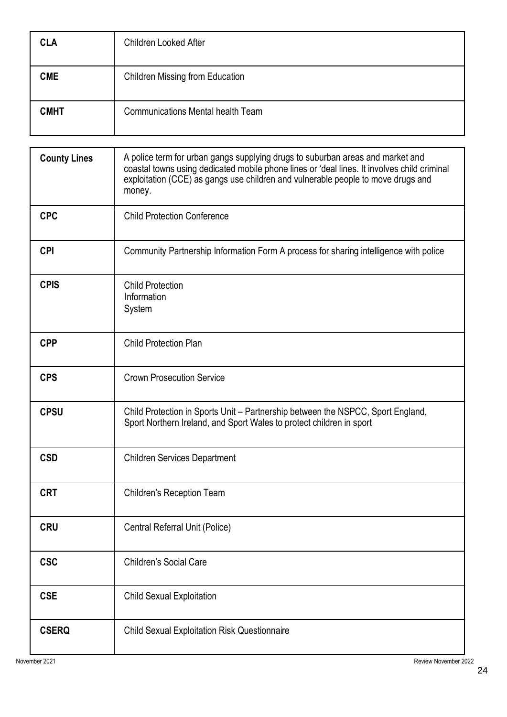| <b>CLA</b>  | <b>Children Looked After</b>             |
|-------------|------------------------------------------|
| <b>CME</b>  | <b>Children Missing from Education</b>   |
| <b>CMHT</b> | <b>Communications Mental health Team</b> |

| <b>County Lines</b> | A police term for urban gangs supplying drugs to suburban areas and market and<br>coastal towns using dedicated mobile phone lines or 'deal lines. It involves child criminal<br>exploitation (CCE) as gangs use children and vulnerable people to move drugs and<br>money. |
|---------------------|-----------------------------------------------------------------------------------------------------------------------------------------------------------------------------------------------------------------------------------------------------------------------------|
| <b>CPC</b>          | <b>Child Protection Conference</b>                                                                                                                                                                                                                                          |
| <b>CPI</b>          | Community Partnership Information Form A process for sharing intelligence with police                                                                                                                                                                                       |
| <b>CPIS</b>         | <b>Child Protection</b><br>Information<br>System                                                                                                                                                                                                                            |
| <b>CPP</b>          | <b>Child Protection Plan</b>                                                                                                                                                                                                                                                |
| <b>CPS</b>          | <b>Crown Prosecution Service</b>                                                                                                                                                                                                                                            |
| <b>CPSU</b>         | Child Protection in Sports Unit - Partnership between the NSPCC, Sport England,<br>Sport Northern Ireland, and Sport Wales to protect children in sport                                                                                                                     |
| <b>CSD</b>          | <b>Children Services Department</b>                                                                                                                                                                                                                                         |
| <b>CRT</b>          | <b>Children's Reception Team</b>                                                                                                                                                                                                                                            |
| CRU                 | Central Referral Unit (Police)                                                                                                                                                                                                                                              |
| <b>CSC</b>          | <b>Children's Social Care</b>                                                                                                                                                                                                                                               |
| <b>CSE</b>          | <b>Child Sexual Exploitation</b>                                                                                                                                                                                                                                            |
| <b>CSERQ</b>        | <b>Child Sexual Exploitation Risk Questionnaire</b>                                                                                                                                                                                                                         |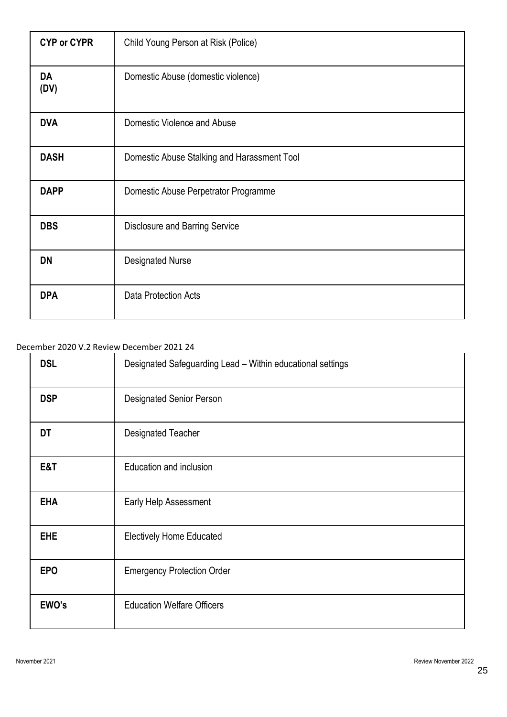| <b>CYP or CYPR</b> | Child Young Person at Risk (Police)         |
|--------------------|---------------------------------------------|
| <b>DA</b><br>(DV)  | Domestic Abuse (domestic violence)          |
| <b>DVA</b>         | Domestic Violence and Abuse                 |
| <b>DASH</b>        | Domestic Abuse Stalking and Harassment Tool |
| <b>DAPP</b>        | Domestic Abuse Perpetrator Programme        |
| <b>DBS</b>         | <b>Disclosure and Barring Service</b>       |
| <b>DN</b>          | <b>Designated Nurse</b>                     |
| <b>DPA</b>         | <b>Data Protection Acts</b>                 |

#### December 2020 V.2 Review December 2021 24

| <b>DSL</b> | Designated Safeguarding Lead - Within educational settings |
|------------|------------------------------------------------------------|
| <b>DSP</b> | <b>Designated Senior Person</b>                            |
| DT         | <b>Designated Teacher</b>                                  |
| E&T        | Education and inclusion                                    |
| <b>EHA</b> | Early Help Assessment                                      |
| <b>EHE</b> | <b>Electively Home Educated</b>                            |
| <b>EPO</b> | <b>Emergency Protection Order</b>                          |
| EWO's      | <b>Education Welfare Officers</b>                          |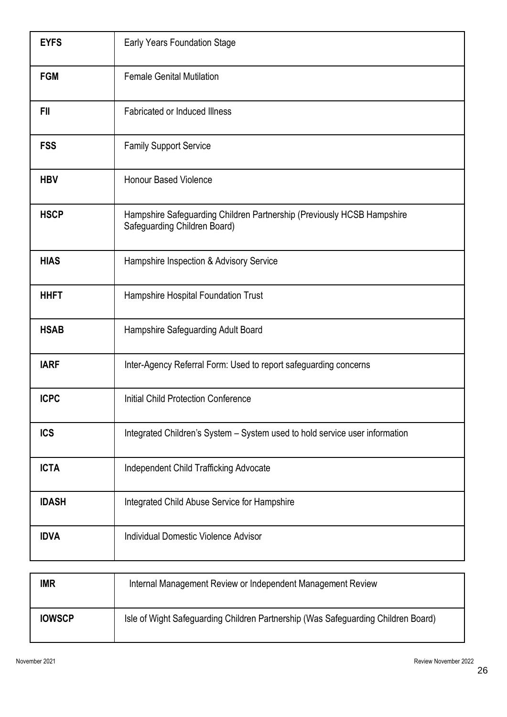| <b>EYFS</b>  | Early Years Foundation Stage                                                                           |
|--------------|--------------------------------------------------------------------------------------------------------|
| <b>FGM</b>   | <b>Female Genital Mutilation</b>                                                                       |
| <b>FII</b>   | <b>Fabricated or Induced Illness</b>                                                                   |
| <b>FSS</b>   | <b>Family Support Service</b>                                                                          |
| <b>HBV</b>   | <b>Honour Based Violence</b>                                                                           |
| <b>HSCP</b>  | Hampshire Safeguarding Children Partnership (Previously HCSB Hampshire<br>Safeguarding Children Board) |
| <b>HIAS</b>  | Hampshire Inspection & Advisory Service                                                                |
| <b>HHFT</b>  | Hampshire Hospital Foundation Trust                                                                    |
| <b>HSAB</b>  | Hampshire Safeguarding Adult Board                                                                     |
| <b>IARF</b>  | Inter-Agency Referral Form: Used to report safeguarding concerns                                       |
| <b>ICPC</b>  | Initial Child Protection Conference                                                                    |
| <b>ICS</b>   | Integrated Children's System - System used to hold service user information                            |
| <b>ICTA</b>  | Independent Child Trafficking Advocate                                                                 |
| <b>IDASH</b> | Integrated Child Abuse Service for Hampshire                                                           |
| <b>IDVA</b>  | <b>Individual Domestic Violence Advisor</b>                                                            |

| <b>IMR</b>    | Internal Management Review or Independent Management Review                       |
|---------------|-----------------------------------------------------------------------------------|
| <b>IOWSCP</b> | Isle of Wight Safeguarding Children Partnership (Was Safeguarding Children Board) |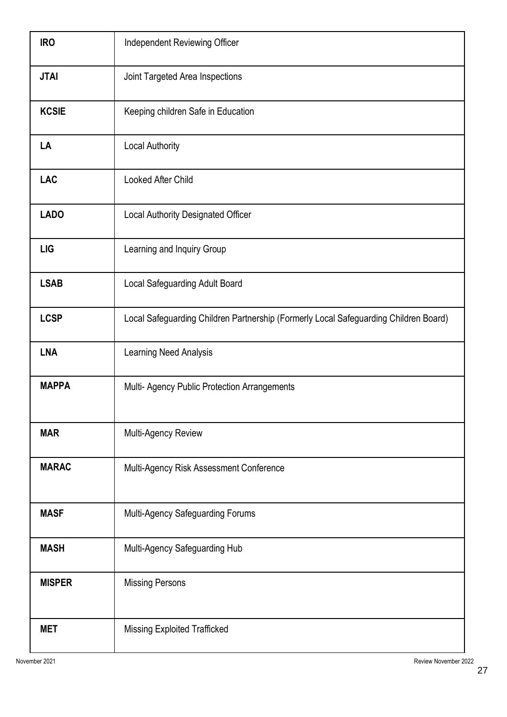| <b>IRO</b>    | Independent Reviewing Officer                                                        |
|---------------|--------------------------------------------------------------------------------------|
| <b>JTAI</b>   | Joint Targeted Area Inspections                                                      |
| <b>KCSIE</b>  | Keeping children Safe in Education                                                   |
| LA            | <b>Local Authority</b>                                                               |
| <b>LAC</b>    | Looked After Child                                                                   |
| <b>LADO</b>   | Local Authority Designated Officer                                                   |
| <b>LIG</b>    | Learning and Inquiry Group                                                           |
| <b>LSAB</b>   | Local Safeguarding Adult Board                                                       |
| <b>LCSP</b>   | Local Safeguarding Children Partnership (Formerly Local Safeguarding Children Board) |
| <b>LNA</b>    | Learning Need Analysis                                                               |
| <b>MAPPA</b>  | Multi- Agency Public Protection Arrangements                                         |
| <b>MAR</b>    | Multi-Agency Review                                                                  |
| <b>MARAC</b>  | Multi-Agency Risk Assessment Conference                                              |
| <b>MASF</b>   | Multi-Agency Safeguarding Forums                                                     |
| <b>MASH</b>   | Multi-Agency Safeguarding Hub                                                        |
| <b>MISPER</b> | <b>Missing Persons</b>                                                               |
| <b>MET</b>    | <b>Missing Exploited Trafficked</b>                                                  |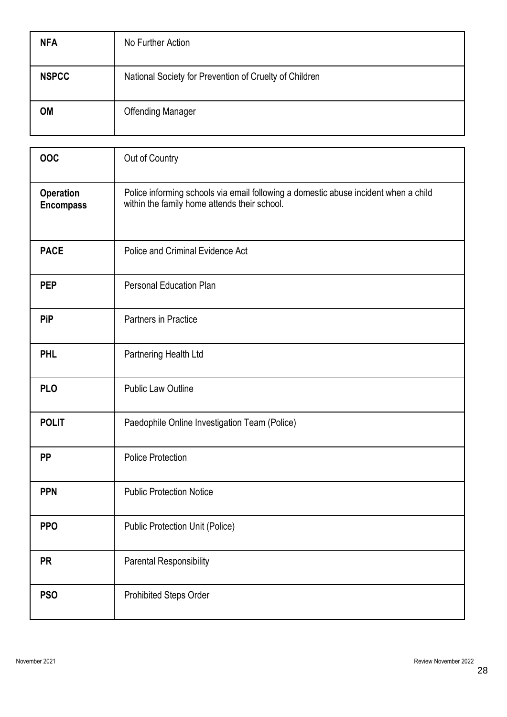| <b>NFA</b>   | No Further Action                                      |
|--------------|--------------------------------------------------------|
| <b>NSPCC</b> | National Society for Prevention of Cruelty of Children |
| <b>OM</b>    | <b>Offending Manager</b>                               |

| OOC                           | Out of Country                                                                                                                      |
|-------------------------------|-------------------------------------------------------------------------------------------------------------------------------------|
| Operation<br><b>Encompass</b> | Police informing schools via email following a domestic abuse incident when a child<br>within the family home attends their school. |
| <b>PACE</b>                   | Police and Criminal Evidence Act                                                                                                    |
| <b>PEP</b>                    | <b>Personal Education Plan</b>                                                                                                      |
| <b>PiP</b>                    | Partners in Practice                                                                                                                |
| <b>PHL</b>                    | Partnering Health Ltd                                                                                                               |
| <b>PLO</b>                    | <b>Public Law Outline</b>                                                                                                           |
| <b>POLIT</b>                  | Paedophile Online Investigation Team (Police)                                                                                       |
| <b>PP</b>                     | <b>Police Protection</b>                                                                                                            |
| <b>PPN</b>                    | <b>Public Protection Notice</b>                                                                                                     |
| <b>PPO</b>                    | <b>Public Protection Unit (Police)</b>                                                                                              |
| <b>PR</b>                     | <b>Parental Responsibility</b>                                                                                                      |
| <b>PSO</b>                    | Prohibited Steps Order                                                                                                              |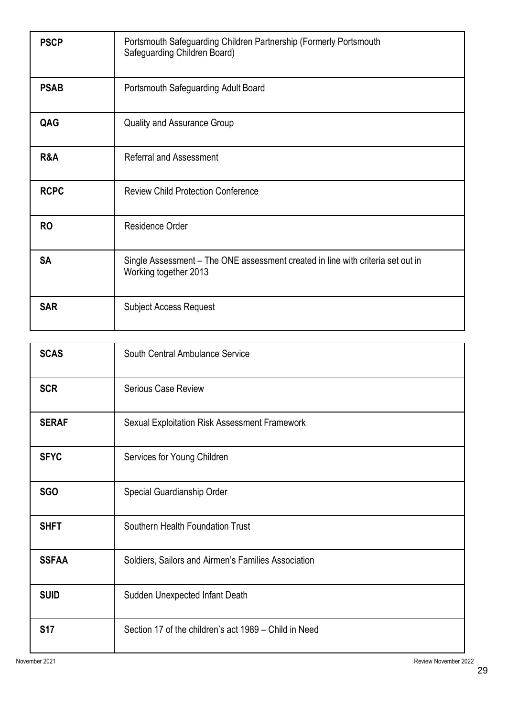| <b>PSCP</b> | Portsmouth Safeguarding Children Partnership (Formerly Portsmouth<br>Safeguarding Children Board)        |
|-------------|----------------------------------------------------------------------------------------------------------|
| <b>PSAB</b> | Portsmouth Safeguarding Adult Board                                                                      |
| QAG         | <b>Quality and Assurance Group</b>                                                                       |
| R&A         | <b>Referral and Assessment</b>                                                                           |
| <b>RCPC</b> | <b>Review Child Protection Conference</b>                                                                |
| <b>RO</b>   | Residence Order                                                                                          |
| <b>SA</b>   | Single Assessment - The ONE assessment created in line with criteria set out in<br>Working together 2013 |
| <b>SAR</b>  | <b>Subject Access Request</b>                                                                            |

| <b>SCAS</b>  | South Central Ambulance Service                       |
|--------------|-------------------------------------------------------|
| <b>SCR</b>   | <b>Serious Case Review</b>                            |
| <b>SERAF</b> | Sexual Exploitation Risk Assessment Framework         |
| <b>SFYC</b>  | Services for Young Children                           |
| <b>SGO</b>   | Special Guardianship Order                            |
| <b>SHFT</b>  | Southern Health Foundation Trust                      |
| <b>SSFAA</b> | Soldiers, Sailors and Airmen's Families Association   |
| <b>SUID</b>  | Sudden Unexpected Infant Death                        |
| <b>S17</b>   | Section 17 of the children's act 1989 – Child in Need |